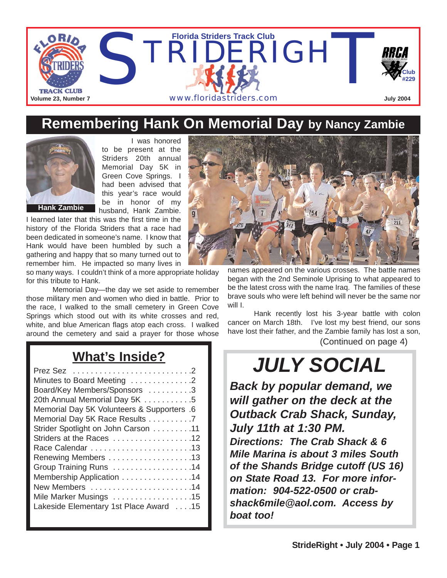

#### **Remembering Hank On Memorial Day by Nancy Zambie**



I was honored to be present at the Striders 20th annual Memorial Day 5K in Green Cove Springs. I had been advised that this year's race would be in honor of my husband, Hank Zambie.

I learned later that this was the first time in the history of the Florida Striders that a race had been dedicated in someone's name. I know that Hank would have been humbled by such a gathering and happy that so many turned out to remember him. He impacted so many lives in

so many ways. I couldn't think of a more appropriate holiday for this tribute to Hank.

Memorial Day—the day we set aside to remember those military men and women who died in battle. Prior to the race, I walked to the small cemetery in Green Cove Springs which stood out with its white crosses and red, white, and blue American flags atop each cross. I walked around the cemetery and said a prayer for those whose

#### **What's Inside?**

| Minutes to Board Meeting 2                 |
|--------------------------------------------|
| Board/Key Members/Sponsors 3               |
| 20th Annual Memorial Day 5K 5              |
| Memorial Day 5K Volunteers & Supporters .6 |
| Memorial Day 5K Race Results 7             |
| Strider Spotlight on John Carson 11        |
| Striders at the Races 12                   |
|                                            |
|                                            |
| Group Training Runs 14                     |
| Membership Application 14                  |
| New Members 14                             |
| Mile Marker Musings 15                     |
| Lakeside Elementary 1st Place Award 15     |
|                                            |



names appeared on the various crosses. The battle names began with the 2nd Seminole Uprising to what appeared to be the latest cross with the name Iraq. The families of these brave souls who were left behind will never be the same nor will I.

Hank recently lost his 3-year battle with colon cancer on March 18th. I've lost my best friend, our sons have lost their father, and the Zambie family has lost a son, (Continued on page 4)

# *JULY SOCIAL*

*Back by popular demand, we will gather on the deck at the Outback Crab Shack, Sunday, July 11th at 1:30 PM. Directions: The Crab Shack & 6 Mile Marina is about 3 miles South of the Shands Bridge cutoff (US 16) on State Road 13. For more information: 904-522-0500 or crabshack6mile@aol.com. Access by boat too!*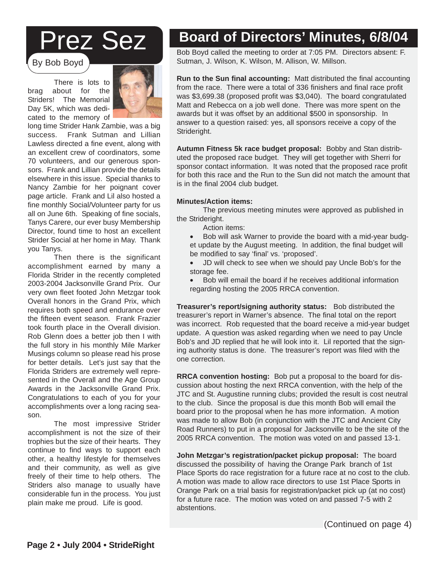# Prez Sez

By Bob Boyd

There is lots to brag about for the Striders! The Memorial Day 5K, which was dedicated to the memory of



long time Strider Hank Zambie, was a big success. Frank Sutman and Lillian Lawless directed a fine event, along with an excellent crew of coordinators, some 70 volunteers, and our generous sponsors. Frank and Lillian provide the details elsewhere in this issue. Special thanks to Nancy Zambie for her poignant cover page article. Frank and Lil also hosted a fine monthly Social/Volunteer party for us all on June 6th. Speaking of fine socials, Tanys Carere, our ever busy Membership Director, found time to host an excellent Strider Social at her home in May. Thank you Tanys.

Then there is the significant accomplishment earned by many a Florida Strider in the recently completed 2003-2004 Jacksonville Grand Prix. Our very own fleet footed John Metzgar took Overall honors in the Grand Prix, which requires both speed and endurance over the fifteen event season. Frank Frazier took fourth place in the Overall division. Rob Glenn does a better job then I with the full story in his monthly Mile Marker Musings column so please read his prose for better details. Let's just say that the Florida Striders are extremely well represented in the Overall and the Age Group Awards in the Jacksonville Grand Prix. Congratulations to each of you for your accomplishments over a long racing season.

The most impressive Strider accomplishment is not the size of their trophies but the size of their hearts. They continue to find ways to support each other, a healthy lifestyle for themselves and their community, as well as give freely of their time to help others. The Striders also manage to usually have considerable fun in the process. You just plain make me proud. Life is good.

#### **Board of Directors' Minutes, 6/8/04**

Bob Boyd called the meeting to order at 7:05 PM. Directors absent: F. Sutman, J. Wilson, K. Wilson, M. Allison, W. Millson.

**Run to the Sun final accounting:** Matt distributed the final accounting from the race. There were a total of 336 finishers and final race profit was \$3,699.38 (proposed profit was \$3,040). The board congratulated Matt and Rebecca on a job well done. There was more spent on the awards but it was offset by an additional \$500 in sponsorship. In answer to a question raised: yes, all sponsors receive a copy of the Strideright.

**Autumn Fitness 5k race budget proposal:** Bobby and Stan distributed the proposed race budget. They will get together with Sherri for sponsor contact information. It was noted that the proposed race profit for both this race and the Run to the Sun did not match the amount that is in the final 2004 club budget.

#### **Minutes/Action items:**

The previous meeting minutes were approved as published in the Strideright.

- Action items:
- Bob will ask Warner to provide the board with a mid-year budget update by the August meeting. In addition, the final budget will be modified to say 'final' vs. 'proposed'.
- JD will check to see when we should pay Uncle Bob's for the storage fee.
- Bob will email the board if he receives additional information regarding hosting the 2005 RRCA convention.

**Treasurer's report/signing authority status:** Bob distributed the treasurer's report in Warner's absence. The final total on the report was incorrect. Rob requested that the board receive a mid-year budget update. A question was asked regarding when we need to pay Uncle Bob's and JD replied that he will look into it. Lil reported that the signing authority status is done. The treasurer's report was filed with the one correction.

cussion about hosting the next RRCA convention, with the help of the<br> **ITC** and St. Augusting running clube: provided the result is cost pour to the club. Since the proposal is due this month Bob will email the board prior to the proposal when he has more information. A motion was made to allow Bob (in conjunction with the JTC and Ancient City) at in a proposal for backsonville to be the site of the<br>tion. The motion was voted on and passed 12.1 2005 RRCA convention. The motion was voted on and passed 13-1. **RRCA convention hosting:** Bob put a proposal to the board for dis-JTC and St. Augustine running clubs; provided the result is cost neutral Road Runners) to put in a proposal for Jacksonville to be the site of the

John Metzgar's registration/packet pickup proposal: The board discussed the possibility of having the Orange Park branch of 1st Place Sports do race registration for a future race at no cost to the club.<br>A profile sports do race the club and in the club of the club of the contribution A motion was made to allow race directors to use itst mace oports in<br>Orange Park on a trial basis for registration/packet pick up (at no cost) Franger and their support of regenerating patter product of the contract of the contract of the state of a future race. The motion was voted on and passed 7-5 with 2 A motion was made to allow race directors to use 1st Place Sports in abstentions.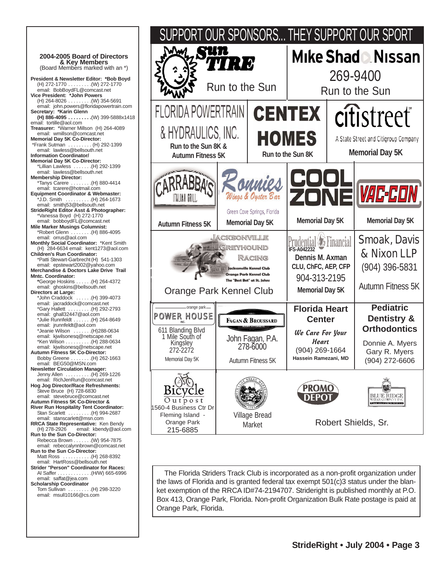



The Florida Striders Track Club is incorporated as a non-profit organization under the laws of Florida and is granted federal tax exempt 501(c)3 status under the blanket exemption of the RRCA ID#74-2194707. Strideright is published monthly at P.O. Box 413, Orange Park, Florida. Non-profit Organization Bulk Rate postage is paid at Orange Park, Florida.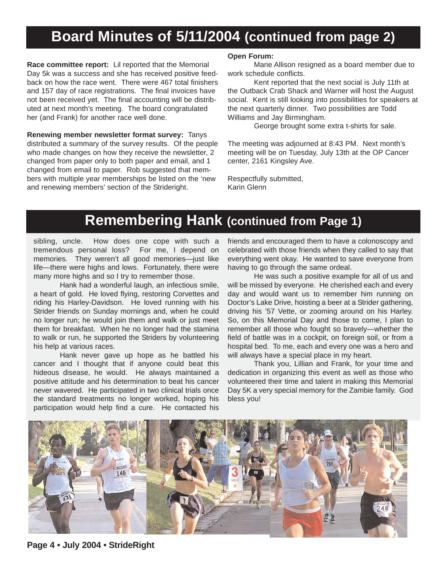#### **Board Minutes of 5/11/2004 (continued from page 2)**

**Race committee report:** Lil reported that the Memorial Day 5k was a success and she has received positive feedback on how the race went. There were 467 total finishers and 157 day of race registrations. The final invoices have not been received yet. The final accounting will be distributed at next month's meeting. The board congratulated her (and Frank) for another race well done.

**Renewing member newsletter format survey:** Tanys distributed a summary of the survey results. Of the people who made changes on how they receive the newsletter, 2 changed from paper only to both paper and email, and 1 changed from email to paper. Rob suggested that members with multiple year memberships be listed on the 'new and renewing members' section of the Strideright.

#### **Open Forum:**

Marie Allison resigned as a board member due to work schedule conflicts.

Kent reported that the next social is July 11th at the Outback Crab Shack and Warner will host the August social. Kent is still looking into possibilities for speakers at the next quarterly dinner. Two possibilities are Todd Williams and Jay Birmingham.

George brought some extra t-shirts for sale.

The meeting was adjourned at 8:43 PM. Next month's meeting will be on Tuesday, July 13th at the OP Cancer center, 2161 Kingsley Ave.

Respectfully submitted, Karin Glenn

#### **Remembering Hank (continued from Page 1)**

sibling, uncle. How does one cope with such a tremendous personal loss? For me, I depend on memories. They weren't all good memories—just like life—there were highs and lows. Fortunately, there were many more highs and so I try to remember those.

Hank had a wonderful laugh, an infectious smile, a heart of gold. He loved flying, restoring Corvettes and riding his Harley-Davidson. He loved running with his Strider friends on Sunday mornings and, when he could no longer run; he would join them and walk or just meet them for breakfast. When he no longer had the stamina to walk or run, he supported the Striders by volunteering his help at various races.

Hank never gave up hope as he battled his cancer and I thought that if anyone could beat this hideous disease, he would. He always maintained a positive attitude and his determination to beat his cancer never wavered. He participated in two clinical trials once the standard treatments no longer worked, hoping his participation would help find a cure. He contacted his

friends and encouraged them to have a colonoscopy and celebrated with those friends when they called to say that everything went okay. He wanted to save everyone from having to go through the same ordeal.

He was such a positive example for all of us and will be missed by everyone. He cherished each and every day and would want us to remember him running on Doctor's Lake Drive, hoisting a beer at a Strider gathering, driving his '57 Vette, or zooming around on his Harley. So, on this Memorial Day and those to come, I plan to remember all those who fought so bravely—whether the field of battle was in a cockpit, on foreign soil, or from a hospital bed. To me, each and every one was a hero and will always have a special place in my heart.

Thank you, Lillian and Frank, for your time and dedication in organizing this event as well as those who volunteered their time and talent in making this Memorial Day 5K a very special memory for the Zambie family. God bless you!



**Page 4 • July 2004 • StrideRight**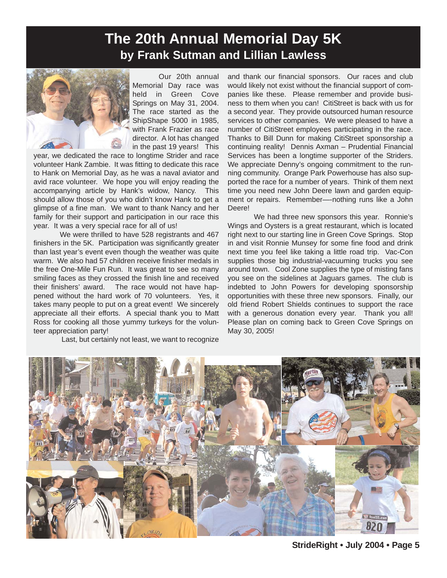#### **The 20th Annual Memorial Day 5K by Frank Sutman and Lillian Lawless**



Our 20th annual Memorial Day race was held in Green Cove Springs on May 31, 2004. The race started as the ShipShape 5000 in 1985, with Frank Frazier as race director. A lot has changed in the past 19 years! This

year, we dedicated the race to longtime Strider and race volunteer Hank Zambie. It was fitting to dedicate this race to Hank on Memorial Day, as he was a naval aviator and avid race volunteer. We hope you will enjoy reading the accompanying article by Hank's widow, Nancy. This should allow those of you who didn't know Hank to get a glimpse of a fine man. We want to thank Nancy and her family for their support and participation in our race this year. It was a very special race for all of us!

We were thrilled to have 528 registrants and 467 finishers in the 5K. Participation was significantly greater than last year's event even though the weather was quite warm. We also had 57 children receive finisher medals in the free One-Mile Fun Run. It was great to see so many smiling faces as they crossed the finish line and received their finishers' award. The race would not have happened without the hard work of 70 volunteers. Yes, it takes many people to put on a great event! We sincerely appreciate all their efforts. A special thank you to Matt Ross for cooking all those yummy turkeys for the volunteer appreciation party!

Last, but certainly not least, we want to recognize

and thank our financial sponsors. Our races and club would likely not exist without the financial support of companies like these. Please remember and provide business to them when you can! CitiStreet is back with us for a second year. They provide outsourced human resource services to other companies. We were pleased to have a number of CitiStreet employees participating in the race. Thanks to Bill Dunn for making CitiStreet sponsorship a continuing reality! Dennis Axman – Prudential Financial Services has been a longtime supporter of the Striders. We appreciate Denny's ongoing commitment to the running community. Orange Park Powerhouse has also supported the race for a number of years. Think of them next time you need new John Deere lawn and garden equipment or repairs. Remember—-nothing runs like a John Deere!

We had three new sponsors this year. Ronnie's Wings and Oysters is a great restaurant, which is located right next to our starting line in Green Cove Springs. Stop in and visit Ronnie Munsey for some fine food and drink next time you feel like taking a little road trip. Vac-Con supplies those big industrial-vacuuming trucks you see around town. Cool Zone supplies the type of misting fans you see on the sidelines at Jaguars games. The club is indebted to John Powers for developing sponsorship opportunities with these three new sponsors. Finally, our old friend Robert Shields continues to support the race with a generous donation every year. Thank you all! Please plan on coming back to Green Cove Springs on May 30, 2005!

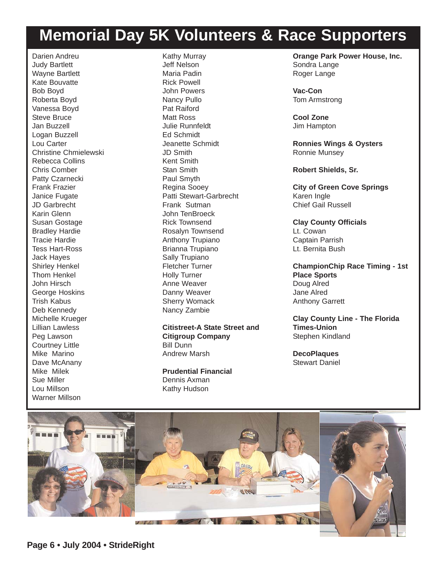## **Memorial Day 5K Volunteers & Race Supporters**

Darien Andreu Judy Bartlett Wayne Bartlett Kate Bouvatte Bob Boyd Roberta Boyd Vanessa Boyd Steve Bruce Jan Buzzell Logan Buzzell Lou Carter Christine Chmielewski Rebecca Collins Chris Comber Patty Czarnecki Frank Frazier Janice Fugate JD Garbrecht Karin Glenn Susan Gostage Bradley Hardie Tracie Hardie Tess Hart-Ross Jack Hayes Shirley Henkel Thom Henkel John Hirsch George Hoskins Trish Kabus Deb Kennedy Michelle Krueger Lillian Lawless Peg Lawson Courtney Little Mike Marino Dave McAnany Mike Milek Sue Miller Lou Millson Warner Millson

Kathy Murray Jeff Nelson Maria Padin Rick Powell John Powers Nancy Pullo Pat Raiford Matt Ross Julie Runnfeldt Ed Schmidt Jeanette Schmidt JD Smith Kent Smith Stan Smith Paul Smyth Regina Sooey Patti Stewart-Garbrecht Frank Sutman John TenBroeck Rick Townsend Rosalyn Townsend Anthony Trupiano Brianna Trupiano Sally Trupiano Fletcher Turner Holly Turner Anne Weaver Danny Weaver Sherry Womack Nancy Zambie

**Citistreet-A State Street and Citigroup Company** Bill Dunn Andrew Marsh

**Prudential Financial** Dennis Axman Kathy Hudson

**Orange Park Power House, Inc.** Sondra Lange Roger Lange

**Vac-Con** Tom Armstrong

**Cool Zone** Jim Hampton

**Ronnies Wings & Oysters** Ronnie Munsey

**Robert Shields, Sr.**

**City of Green Cove Springs** Karen Ingle Chief Gail Russell

**Clay County Officials** Lt. Cowan Captain Parrish Lt. Bernita Bush

**ChampionChip Race Timing - 1st Place Sports** Doug Alred Jane Alred Anthony Garrett

**Clay County Line - The Florida Times-Union** Stephen Kindland

**DecoPlaques** Stewart Daniel

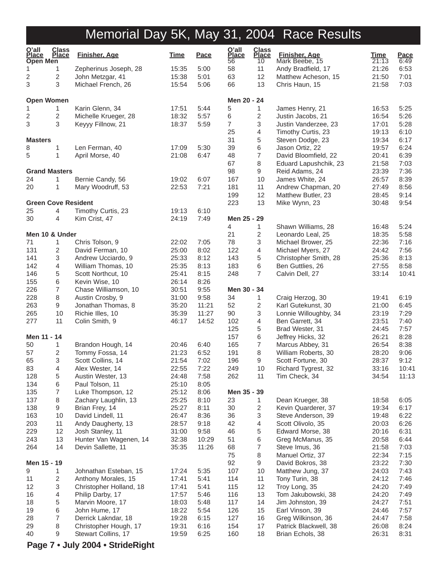| $Q'$ all<br><b>Place</b><br><b>Open Men</b> | <b>Class</b><br><b>Place</b> | <b>Finisher, Age</b>                         | <b>Time</b>    | <b>Pace</b>  | $Q'$ all<br><b>Place</b><br>56 | <b>Class</b><br><b>Place</b><br>10 | Finisher, Age<br>Mark Beebe, 15             | <b>Time</b><br>21:13 | Pace<br>6:49 |
|---------------------------------------------|------------------------------|----------------------------------------------|----------------|--------------|--------------------------------|------------------------------------|---------------------------------------------|----------------------|--------------|
| 1                                           | 1                            | Zepherinus Joseph, 28                        | 15:35          | 5:00         | 58                             | 11                                 | Andy Bradfield, 17                          | 21:26                | 6:53         |
| 2                                           | 2                            | John Metzgar, 41                             | 15:38          | 5:01         | 63                             | 12                                 | Matthew Acheson, 15                         | 21:50                | 7:01         |
| 3                                           | 3                            | Michael French, 26                           | 15:54          | 5:06         | 66                             | 13                                 | Chris Haun, 15                              | 21:58                | 7:03         |
| <b>Open Women</b>                           |                              |                                              |                |              | Men 20 - 24                    |                                    |                                             |                      |              |
| 1                                           | 1                            | Karin Glenn, 34                              | 17:51          | 5:44         | 5                              | 1                                  | James Henry, 21                             | 16:53                | 5:25         |
| 2                                           | 2                            | Michelle Krueger, 28                         | 18:32          | 5:57         | 6                              | $\sqrt{2}$                         | Justin Jacobs, 21                           | 16:54                | 5:26         |
| 3                                           | 3                            | Keyyy Fillnow, 21                            | 18:37          | 5:59         | 7                              | 3                                  | Justin Vanderzee, 23                        | 17:01                | 5:28         |
|                                             |                              |                                              |                |              | 25                             | 4                                  | Timothy Curtis, 23                          | 19:13                | 6:10         |
| <b>Masters</b>                              |                              |                                              |                |              | 31                             | 5                                  | Steven Dodge, 23                            | 19:34                | 6:17         |
| 8                                           | 1                            | Len Ferman, 40                               | 17:09          | 5:30         | 39                             | 6                                  | Jason Ortiz, 22                             | 19:57                | 6:24         |
| 5                                           | 1                            | April Morse, 40                              | 21:08          | 6:47         | 48                             | $\overline{7}$                     | David Bloomfield, 22                        | 20:41                | 6:39         |
| <b>Grand Masters</b>                        |                              |                                              |                |              | 67<br>98                       | 8<br>9                             | Eduard Lapushchik, 23                       | 21:58<br>23:39       | 7:03<br>7:36 |
| 24                                          | 1                            | Bernie Candy, 56                             | 19:02          | 6:07         | 167                            | 10                                 | Reid Adams, 24<br>James White, 24           | 26:57                | 8:39         |
| 20                                          | 1                            | Mary Woodruff, 53                            | 22:53          | 7:21         | 181                            | 11                                 | Andrew Chapman, 20                          | 27:49                | 8:56         |
|                                             |                              |                                              |                |              | 199                            | 12                                 | Matthew Butler, 23                          | 28:45                | 9:14         |
| <b>Green Cove Resident</b>                  |                              |                                              |                |              | 223                            | 13                                 | Mike Wynn, 23                               | 30:48                | 9:54         |
| 25                                          | 4                            | Timothy Curtis, 23                           | 19:13          | 6:10         |                                |                                    |                                             |                      |              |
| 30                                          | 4                            | Kim Crist, 47                                | 24:19          | 7:49         | Men 25 - 29                    |                                    |                                             |                      |              |
|                                             |                              |                                              |                |              | 4                              | 1                                  | Shawn Williams, 28                          | 16:48                | 5:24         |
| Men 10 & Under                              |                              |                                              |                |              | 21                             | 2                                  | Leonardo Leal, 25                           | 18:35                | 5:58         |
| 71                                          | 1                            | Chris Tolson, 9                              | 22:02          | 7:05         | 78                             | 3                                  | Michael Brower, 25                          | 22:36                | 7:16         |
| 131                                         | 2                            | David Ferman, 10                             | 25:00          | 8:02         | 122                            | 4                                  | Michael Myers, 27                           | 24:42                | 7:56         |
| 141                                         | 3                            | Andrew Ucciardo, 9                           | 25:33          | 8:12         | 143                            | 5                                  | Christopher Smith, 28                       | 25:36                | 8:13         |
| 142                                         | 4                            | William Thomas, 10                           | 25:35          | 8:13         | 183                            | 6                                  | Ben Guttlies, 26                            | 27:55                | 8:58         |
| 146                                         | 5                            | Scott Northcut, 10                           | 25:41          | 8:15         | 248                            | $\overline{7}$                     | Calvin Dell, 27                             | 33:14                | 10:41        |
| 155                                         | 6                            | Kevin Wise, 10                               | 26:14          | 8:26         |                                |                                    |                                             |                      |              |
| 226                                         | $\overline{7}$               | Chase Williamson, 10                         | 30:51          | 9:55         | Men 30 - 34                    |                                    |                                             |                      |              |
| 228                                         | 8                            | Austin Crosby, 9                             | 31:00          | 9:58         | 34                             | 1                                  | Craig Herzog, 30                            | 19:41                | 6:19         |
| 263                                         | 9                            | Jonathan Thomas, 8                           | 35:20          | 11:21        | 52                             | $\overline{c}$                     | Karl Gutekunst, 30                          | 21:00                | 6:45         |
| 265                                         | 10                           | Richie Illes, 10                             | 35:39          | 11:27        | 90                             | $\ensuremath{\mathsf{3}}$          | Lonnie Willoughby, 34                       | 23:19                | 7:29         |
| 277                                         | 11                           | Colin Smith, 9                               | 46:17          | 14:52        | 102                            | 4                                  | Ben Garrett, 34                             | 23:51                | 7:40         |
|                                             |                              |                                              |                |              | 125                            | 5                                  | Brad Wester, 31                             | 24:45                | 7:57         |
| Men 11 - 14                                 |                              |                                              |                |              | 157                            | 6                                  | Jeffrey Hicks, 32                           | 26:21                | 8:28         |
| 50<br>57                                    | 1                            | Brandon Hough, 14                            | 20:46<br>21:23 | 6:40<br>6:52 | 165                            | $\overline{7}$<br>$\,8\,$          | Marcus Abbey, 31                            | 26:54<br>28:20       | 8:38<br>9:06 |
|                                             | 2<br>3                       | Tommy Fossa, 14<br>Scott Collins, 14         | 21:54          |              | 191                            |                                    | William Roberts, 30                         |                      | 9:12         |
| 65<br>83                                    | 4                            | Alex Wester, 14                              | 22:55          | 7:02<br>7:22 | 196<br>249                     | 9<br>10                            | Scott Fortune, 30<br>Richard Tygrest, 32    | 28:37<br>33:16       | 10:41        |
| 128                                         | 5                            | Austin Wester, 13                            | 24:48          | 7:58         | 262                            | 11                                 | Tim Check, 34                               | 34:54                | 11:13        |
| 134                                         | 6                            | Paul Tolson, 11                              | 25:10          | 8:05         |                                |                                    |                                             |                      |              |
| 135                                         | $\overline{7}$               | Luke Thompson, 12                            | 25:12          | 8:06         | Men 35 - 39                    |                                    |                                             |                      |              |
| 137                                         | 8                            | Zachary Laughlin, 13                         | 25:25          | 8:10         | 23                             | 1                                  | Dean Krueger, 38                            | 18:58                | 6:05         |
| 138                                         | 9                            | Brian Frey, 14                               | 25:27          | 8:11         | 30                             | $\overline{c}$                     | Kevin Quarderer, 37                         | 19:34                | 6:17         |
| 163                                         | 10                           | David Lindell, 11                            | 26:47          | 8:36         | 36                             | 3                                  | Steve Anderson, 39                          | 19:48                | 6:22         |
| 203                                         | 11                           | Andy Daugherty, 13                           | 28:57          | 9:18         | 42                             | 4                                  | Scott Olivolo, 35                           | 20:03                | 6:26         |
| 229                                         | 12                           | Josh Stanley, 11                             | 31:00          | 9:58         | 46                             | $\,$ 5 $\,$                        | Edward Morse, 38                            | 20:16                | 6:31         |
| 243                                         | 13                           | Hunter Van Wagenen, 14                       | 32:38          | 10:29        | 51                             | 6                                  | Greg McManus, 35                            | 20:58                | 6:44         |
| 264                                         | 14                           | Devin Sallette, 11                           | 35:35          | 11:26        | 68                             | $\overline{7}$                     | Steve Imus, 36                              | 21:58                | 7:03         |
|                                             |                              |                                              |                |              | 75                             | 8                                  | Manuel Ortiz, 37                            | 22:34                | 7:15         |
| Men 15 - 19                                 |                              |                                              |                |              | 92                             | 9                                  | David Bokros, 38                            | 23:22                | 7:30         |
| 9                                           | 1                            | Johnathan Esteban, 15                        | 17:24          | 5:35         | 107                            | 10                                 | Matthew Jung, 37                            | 24:03                | 7:43         |
| 11                                          | $\overline{c}$               | Anthony Morales, 15                          | 17:41          | 5:41         | 114                            | 11                                 | Tony Turin, 38                              | 24:12                | 7:46         |
| 12                                          | 3                            | Christopher Holland, 18                      | 17:41          | 5:41         | 115                            | 12                                 | Troy Long, 35                               | 24:20                | 7:49         |
| 16                                          | 4                            | Philip Darby, 17                             | 17:57          | 5:46         | 116                            | 13                                 | Tom Jakubowski, 38                          | 24:20                | 7:49         |
| 18                                          | 5                            | Marvin Moore, 17                             | 18:03          | 5:48         | 117                            | 14                                 | Jim Johnston, 39                            | 24:27                | 7:51         |
| 19                                          | 6                            | John Hume, 17                                | 18:22          | 5:54         | 126                            | 15                                 | Earl Vinson, 39                             | 24:46                | 7:57         |
| 28                                          | 7                            | Derrick Lakndar, 18                          | 19:28          | 6:15         | 127                            | 16                                 | Greg Wilkinson, 36<br>Patrick Blackwell, 38 | 24:47                | 7:58<br>8:24 |
| 29<br>40                                    | 8<br>9                       | Christopher Hough, 17<br>Stewart Collins, 17 | 19:31<br>19:59 | 6:16<br>6:25 | 154<br>160                     | 17<br>18                           | Brian Echols, 38                            | 26:08<br>26:31       | 8:31         |
|                                             |                              |                                              |                |              |                                |                                    |                                             |                      |              |

**Page 7 • July 2004 • StrideRight**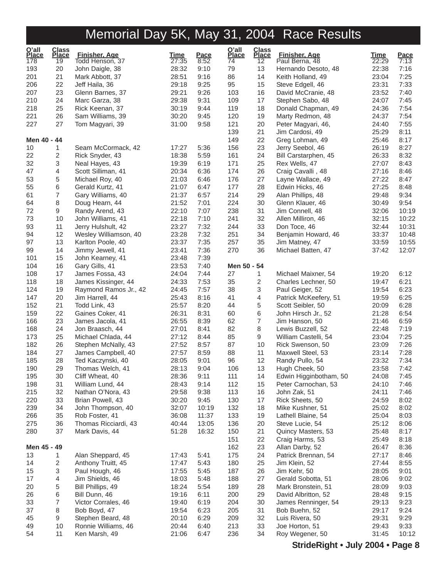| O'all<br>Place | Class<br>Place               | <b>Finisher, Age</b>                  | <b>Time</b>    | Pace         | O'all<br>Place | Class<br>Place | <b>Finisher, Age</b>                   | <u>Time</u>    | Pace         |
|----------------|------------------------------|---------------------------------------|----------------|--------------|----------------|----------------|----------------------------------------|----------------|--------------|
| 178            | 19                           | Todd Henson, 37                       | 27:35          | 8:52         | 74             | 12             | Paul Berna, 48                         | 22:29          | 7:13         |
| 193            | 20                           | John Daigle, 38                       | 28:32          | 9:10         | 79             | 13             | Hernando Desoto, 48                    | 22:38          | 7:16         |
| 201            | 21                           | Mark Abbott, 37                       | 28:51          | 9:16         | 86             | 14             | Keith Holland, 49                      | 23:04          | 7:25         |
| 206            | 22                           | Jeff Haila, 36                        | 29:18          | 9:25         | 95             | 15             | Steve Edgell, 46                       | 23:31          | 7:33         |
| 207            | 23                           | Glenn Barnes, 37                      | 29:21          | 9:26         | 103            | 16             | David McCranie, 48                     | 23:52          | 7:40         |
| 210            | 24                           | Marc Garza, 38                        | 29:38          | 9:31         | 109            | 17             | Stephen Sabo, 48                       | 24:07          | 7:45         |
| 218            | 25                           | Rick Keenan, 37                       | 30:19          | 9:44         | 119            | 18             | Donald Chapman, 49                     | 24:36          | 7:54         |
| 221            | 26                           | Sam Williams, 39                      | 30:20          | 9:45         | 120            | 19             | Marty Redmon, 48                       | 24:37          | 7:54         |
| 227            | 27                           | Tom Magyari, 39                       | 31:00          | 9:58         | 121            | 20             | Peter Magyari, 46,                     | 24:40          | 7:55         |
|                |                              |                                       |                |              | 139            | 21             | Jim Cardosi, 49                        | 25:29          | 8:11         |
| Men 40 - 44    |                              |                                       |                |              | 149            | 22             | Greg Lohman, 49                        | 25:46          | 8:17         |
| 10             | 1<br>$\overline{\mathbf{c}}$ | Seam McCormack, 42                    | 17:27<br>18:38 | 5:36<br>5:59 | 156<br>161     | 23<br>24       | Jerry Seebol, 46                       | 26:19<br>26:33 | 8:27<br>8:32 |
| 22             | 3                            | Rick Snyder, 43                       | 19:39          |              | 171            | 25             | Bill Carstarphen, 45                   | 27:07          |              |
| 32             |                              | Neal Hayes, 43                        |                | 6:19         | 174            |                | Rex Wells, 47                          | 27:16          | 8:43<br>8:46 |
| 47<br>53       | 4<br>5                       | Scott Silliman, 41<br>Michael Roy, 40 | 20:34<br>21:03 | 6:36<br>6:46 | 176            | 26<br>27       | Craig Cavalli, 48<br>Layne Wallace, 49 | 27:22          | 8:47         |
| 55             | 6                            | Gerald Kurtz, 41                      | 21:07          | 6:47         | 177            | 28             | Edwin Hicks, 46                        | 27:25          | 8:48         |
| 61             | 7                            | Gary Williams, 40                     | 21:37          | 6:57         | 214            | 29             | Alan Phillips, 48                      | 29:48          | 9:34         |
| 64             | 8                            | Doug Hearn, 44                        | 21:52          | 7:01         | 224            | 30             | Glenn Klauer, 46                       | 30:49          | 9:54         |
| 72             | 9                            | Randy Arend, 43                       | 22:10          | 7:07         | 238            | 31             | Jim Connell, 48                        | 32:06          | 10:19        |
| 73             | 10                           | John Williams, 41                     | 22:18          | 7:10         | 241            | 32             | Allen Milliron, 46                     | 32:15          | 10:22        |
| 93             | 11                           | Jerry Hulshult, 42                    | 23:27          | 7:32         | 244            | 33             | Don Toce, 46                           | 32:44          | 10:31        |
| 94             | 12                           | Wesley Williamson, 40                 | 23:28          | 7:32         | 251            | 34             | Benjamin Howard, 46                    | 33:37          | 10:48        |
| 97             | 13                           | Karlton Poole, 40                     | 23:37          | 7:35         | 257            | 35             | Jim Matney, 47                         | 33:59          | 10:55        |
| 99             | 14                           | Jimmy Jewell, 41                      | 23:41          | 7:36         | 270            | 36             | Michael Batten, 47                     | 37:42          | 12:07        |
| 101            | 15                           | John Kearney, 41                      | 23:48          | 7:39         |                |                |                                        |                |              |
| 104            | 16                           | Gary Gills, 41                        | 23:53          | 7:40         | Men 50 - 54    |                |                                        |                |              |
| 108            | 17                           | James Fossa, 43                       | 24:04          | 7:44         | 27             | 1              | Michael Maixner, 54                    | 19:20          | 6:12         |
| 118            | 18                           | James Kissinger, 44                   | 24:33          | 7:53         | 35             | 2              | Charles Lechner, 50                    | 19:47          | 6:21         |
| 124            | 19                           | Raymond Ramos Jr., 42                 | 24:45          | 7:57         | 38             | 3              | Paul Geiger, 52                        | 19:54          | 6:23         |
| 147            | 20                           | Jim Harrell, 44                       | 25:43          | 8:16         | 41             | 4              | Patrick McKeefery, 51                  | 19:59          | 6:25         |
| 152            | 21                           | Todd Link, 43                         | 25:57          | 8:20         | 44             | 5              | Scott Seibler, 50                      | 20:09          | 6:28         |
| 159            | 22                           | Gaines Coker, 41                      | 26:31          | 8:31         | 60             | 6              | John Hirsch Jr., 52                    | 21:28          | 6:54         |
| 166            | 23                           | James Jacola, 41                      | 26:55          | 8:39         | 62             | $\overline{7}$ | Jim Hanson, 50                         | 21:46          | 6:59         |
| 168            | 24                           | Jon Braasch, 44                       | 27:01          | 8:41         | 82             | 8              | Lewis Buzzell, 52                      | 22:48          | 7:19         |
| 173            | 25                           | Michael Chlada, 44                    | 27:12          | 8:44         | 85             | 9              | William Castelli, 54                   | 23:04          | 7:25         |
| 182            | 26                           | Stephen McNally, 43                   | 27:52          | 8:57         | 87             | 10             | Rick Swenson, 50                       | 23:09          | 7:26         |
| 184            | 27                           | James Campbell, 40                    | 27:57          | 8:59         | 88             | 11             | Maxwell Steel, 53                      | 23:14          | 7:28         |
| 185            | 28                           | Ted Kaczynski, 40                     | 28:05          | 9:01         | 96             | 12             | Randy Pullo, 54                        | 23:32          | 7:34         |
| 190            | 29                           | Thomas Welch, 41                      | 28:13          | 9:04         | 106            | 13             | Hugh Cheek, 50                         | 23:58          | 7:42         |
| 195            | 30                           | Cliff Wheat, 40                       | 28:36          | 9:11         | 111            | 14             | Edwin Higginbotham, 50                 | 24:08          | 7:45         |
| 198            | 31                           | William Lund, 44                      | 28:43          | 9:14         | 112            | 15             | Peter Carnochan, 53                    | 24:10          | 7:46         |
| 215            | 32                           | Nathan O'Nora, 43                     | 29:58          | 9:38         | 113            | 16             | John Zak, 51                           | 24:11          | 7:46         |
| 220            | 33                           | Brian Powell, 43                      | 30:20          | 9:45         | 130            | 17             | Rick Sheets, 50                        | 24:59          | 8:02         |
| 239            | 34                           | John Thompson, 40                     | 32:07          | 10:19        | 132            | 18             | Mike Kushner, 51                       | 25:02          | 8:02         |
| 266            | 35                           | Rob Foster, 41                        | 36:08          | 11:37        | 133            | 19             | Lathell Blaine, 54                     | 25:04          | 8:03         |
| 275            | 36                           | Thomas Ricciardi, 43                  | 40:44          | 13:05        | 136            | 20             | Steve Lucie, 54                        | 25:12          | 8:06         |
| 280            | 37                           | Mark Davis, 44                        | 51:28          | 16:32        | 150            | 21             | Quincy Masters, 53                     | 25:48          | 8:17         |
|                |                              |                                       |                |              | 151            | 22             | Craig Harms, 53                        | 25:49          | 8:18         |
| Men 45 - 49    |                              |                                       |                |              | 162            | 23             | Allan Darby, 52                        | 26:47          | 8:36         |
| 13             | 1                            | Alan Sheppard, 45                     | 17:43          | 5:41         | 175            | 24             | Patrick Brennan, 54                    | 27:17          | 8:46         |
| 14             | $\overline{2}$               | Anthony Truitt, 45                    | 17:47          | 5:43         | 180            | 25             | Jim Klein, 52                          | 27:44          | 8:55         |
| 15             | 3                            | Paul Hough, 46                        | 17:55          | 5:45         | 187            | 26             | Jim Kehr, 50                           | 28:05          | 9:01         |
| 17             | 4                            | Jim Shields, 46                       | 18:03          | 5:48         | 188            | 27             | Gerald Sobotta, 51                     | 28:06          | 9:02         |
| 20             | 5                            | Bill Phillips, 49                     | 18:24          | 5:54         | 189            | 28             | Mark Bronstein, 51                     | 28:09          | 9:03         |
| 26             | 6                            | Bill Dunn, 46                         | 19:16          | 6:11         | 200            | 29             | David Albritton, 52                    | 28:48          | 9:15         |
| 33             | $\overline{7}$               | Victor Corrales, 46                   | 19:40          | 6:19         | 204            | 30             | James Renninger, 54                    | 29:13          | 9:23         |
| 37             | 8                            | Bob Boyd, 47                          | 19:54          | 6:23         | 205            | 31             | Bob Buehn, 52                          | 29:17          | 9:24         |
| 45             | 9                            | Stephen Beard, 48                     | 20:10          | 6:29         | 209            | 32             | Luis Rivera, 50                        | 29:31          | 9:29         |
| 49             | 10                           | Ronnie Williams, 46                   | 20:44          | 6:40         | 213            | 33             | Joe Horton, 51                         | 29:43          | 9:33         |
| 54             | 11                           | Ken Marsh, 49                         | 21:06          | 6:47         | 236            | 34             | Roy Wegener, 50                        | 31:45          | 10:12        |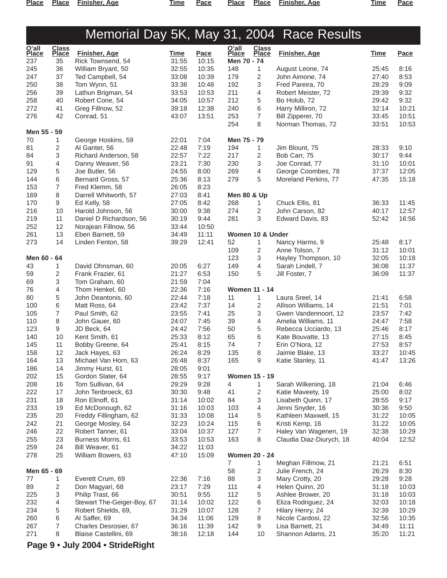**Place Place Finisher, Age Time Pace Place Place Finisher, Age Time Pace**

## Memorial Day 5K, May 31, 2004 Race Results

| $Q'$ all     | <b>Class</b> |                                       |                |                | O'all                  | <b>Class</b>   |                                          |                |               |
|--------------|--------------|---------------------------------------|----------------|----------------|------------------------|----------------|------------------------------------------|----------------|---------------|
| <b>Place</b> | <b>Place</b> | <b>Finisher, Age</b>                  | <u>Time</u>    | Pace           | <b>Place</b>           | <b>Place</b>   | <b>Finisher, Age</b>                     | <b>Time</b>    | Pace          |
| 237          | 35           | Rick Townsend, 54                     | 31:55          | 10:15          | Men 70 - 74            |                |                                          |                |               |
| 245          | 36           | William Bryant, 50                    | 32:55          | 10:35          | 148                    | $\mathbf{1}$   | August Leone, 74                         | 25:45          | 8:16          |
| 247          | 37           | Ted Campbell, 54                      | 33:08          | 10:39          | 179                    | 2              | John Aimone, 74                          | 27:40          | 8:53          |
| 250          | 38           | Tom Wynn, 51                          | 33:36          | 10:48          | 192                    | 3              | Fred Pareira, 70                         | 28:29          | 9:09          |
| 256          | 39           | Lathun Brigman, 54                    | 33:53          | 10:53          | 211                    | 4              | Robert Meister, 72                       | 29:39          | 9:32          |
| 258<br>272   | 40<br>41     | Robert Cone, 54<br>Greg Fillnow, 52   | 34:05<br>39:18 | 10:57<br>12:38 | 212<br>240             | 5<br>6         | Bo Holub, 72<br>Harry Milliron, 72       | 29:42<br>32:14 | 9:32<br>10:21 |
| 276          | 42           | Conrad, 51                            | 43:07          | 13:51          | 253                    | 7              | Bill Zipperer, 70                        | 33:45          | 10:51         |
|              |              |                                       |                |                | 254                    | 8              | Norman Thomas, 72                        | 33:51          | 10:53         |
| Men 55 - 59  |              |                                       |                |                |                        |                |                                          |                |               |
| 70           | 1            | George Hoskins, 59                    | 22:01          | 7:04           | Men 75 - 79            |                |                                          |                |               |
| 81           | 2            | Al Ganter, 56                         | 22:48          | 7:19           | 194                    | 1              | Jim Blount, 75                           | 28:33          | 9:10          |
| 84           | 3            | Richard Anderson, 58                  | 22:57          | 7:22           | 217                    | 2              | Bob Carr, 75                             | 30:17          | 9:44          |
| 91           | 4            | Danny Weaver, 56                      | 23:21          | 7:30           | 230                    | 3              | Joe Conrad, 77                           | 31:10          | 10:01         |
| 129          | 5            | Joe Butler, 56                        | 24:55          | 8:00           | 269                    | 4              | George Coombes, 78                       | 37:37          | 12:05         |
| 144          | 6            | Bernard Gross, 57                     | 25:36          | 8:13           | 279                    | 5              | Moreland Perkins, 77                     | 47:35          | 15:18         |
| 153          | 7            | Fred Klemm, 58                        | 26:05          | 8:23           |                        |                |                                          |                |               |
| 169          | 8            | Darrell Whitworth, 57                 | 27:03          | 8:41           | <b>Men 80 &amp; Up</b> |                |                                          |                |               |
| 170          | 9            | Ed Kelly, 58                          | 27:05          | 8:42           | 268                    | 1              | Chuck Ellis, 81                          | 36:33          | 11:45         |
| 216          | 10           | Harold Johnson, 56                    | 30:00          | 9:38           | 274                    | 2              | John Carson, 82                          | 40:17          | 12:57         |
| 219          | 11           | Daniel D Richardson, 56               | 30:19          | 9:44           | 281                    | 3              | Edward Davis, 83                         | 52:42          | 16:56         |
| 252<br>261   | 12<br>13     | Norajean Fillnow, 56                  | 33:44          | 10:50<br>11:11 | Women 10 & Under       |                |                                          |                |               |
| 273          | 14           | Eben Barnett, 59<br>Linden Fenton, 58 | 34:49<br>39:29 | 12:41          | 52                     | 1              | Nancy Harms, 9                           | 25:48          | 8:17          |
|              |              |                                       |                |                | 109                    | $\mathbf{2}$   | Anne Tolson, 7                           | 31:12          | 10:01         |
| Men 60 - 64  |              |                                       |                |                | 123                    | 3              | Hayley Thompson, 10                      | 32:05          | 10:18         |
| 43           | 1            | David Ohnsman, 60                     | 20:05          | 6:27           | 149                    | 4              | Sarah Lindell, 7                         | 36:08          | 11:37         |
| 59           | 2            | Frank Frazier, 61                     | 21:27          | 6:53           | 150                    | 5              | Jill Foster, 7                           | 36:09          | 11:37         |
| 69           | 3            | Tom Graham, 60                        | 21:59          | 7:04           |                        |                |                                          |                |               |
| 76           | 4            | Thom Henkel, 60                       | 22:36          | 7:16           | <b>Women 11 - 14</b>   |                |                                          |                |               |
| 80           | 5            | John Deantonis, 60                    | 22:44          | 7:18           | 11                     | $\mathbf{1}$   | Laura Sreel, 14                          | 21:41          | 6:58          |
| 100          | 6            | Matt Ross, 64                         | 23:42          | 7:37           | 14                     | 2              | Allison Williams, 14                     | 21:51          | 7:01          |
| 105          | 7            | Paul Smith, 62                        | 23:55          | 7:41           | 25                     | 3              | Gwen Vandennoort, 12                     | 23:57          | 7:42          |
| 110          | 8            | John Gauer, 60                        | 24:07          | 7:45           | 39                     | 4              | Amelia Williams, 11                      | 24:47          | 7:58          |
| 123          | 9            | JD Beck, 64                           | 24:42          | 7:56           | 50                     | 5              | Rebecca Ucciardo, 13                     | 25:46          | 8:17          |
| 140          | 10           | Kent Smith, 61                        | 25:33          | 8:12           | 65                     | 6              | Kate Bouvatte, 13                        | 27:15          | 8:45          |
| 145          | 11           | Bobby Greene, 64                      | 25:41          | 8:15           | 74                     | $\overline{7}$ | Erin O'Nora, 12                          | 27:53          | 8:57          |
| 158          | 12           | Jack Hayes, 63                        | 26:24          | 8:29           | 135                    | 8              | Jaimie Blake, 13                         | 33:27          | 10:45         |
| 164          | 13           | Michael Van Horn, 63                  | 26:48          | 8:37           | 165                    | 9              | Katie Stanley, 11                        | 41:47          | 13:26         |
| 186          | 14           | Jimmy Hurst, 61                       | 28:05          | 9:01           |                        |                |                                          |                |               |
| 202          | 15           | Gordon Slater, 64                     | 28:55          | 9:17           | <b>Women 15 - 19</b>   |                |                                          |                |               |
| 208          | 16           | Tom Sullivan, 64                      | 29:29          | 9:28           | 4<br>41                | 1              | Sarah Wilkening, 18<br>Katie Maveety, 19 | 21:04<br>25:00 | 6:46<br>8:02  |
| 222<br>231   | 17<br>18     | John Tenbroeck, 63<br>Ron Elinoff, 61 | 30:30<br>31:14 | 9:48<br>10:02  | 84                     | 2<br>3         | Lisabeth Quinn, 17                       | 28:55          | 9:17          |
| 233          | 19           | Ed McDonough, 62                      | 31:16          | 10:03          | 103                    | 4              | Jenni Snyder, 16                         | 30:36          | 9:50          |
| 235          | 20           | Freddy Fillingham, 62                 | 31:33          | 10:08          | 114                    | 5              | Kathleen Maxwell, 15                     | 31:22          | 10:05         |
| 242          | 21           | George Mosley, 64                     | 32:23          | 10:24          | 115                    | 6              | Kristi Kemp, 16                          | 31:22          | 10:05         |
| 246          | 22           | Robert Tanner, 61                     | 33:04          | 10:37          | 127                    | 7              | Haley Van Wagenen, 19                    | 32:38          | 10:29         |
| 255          | 23           | Burness Morris, 61                    | 33:53          | 10:53          | 163                    | 8              | Claudia Diaz-Diurych, 18                 | 40:04          | 12:52         |
| 259          | 24           | Bill Weaver, 61                       | 34:22          | 11:03          |                        |                |                                          |                |               |
| 278          | 25           | William Bowers, 63                    | 47:10          | 15:09          | <b>Women 20 - 24</b>   |                |                                          |                |               |
|              |              |                                       |                |                | $\overline{7}$         | 1              | Meghan Fillmow, 21                       | 21:21          | 6:51          |
| Men 65 - 69  |              |                                       |                |                | 58                     | 2              | Julie French, 24                         | 26:29          | 8:30          |
| 77           | 1            | Everett Crum, 69                      | 22:36          | 7:16           | 88                     | 3              | Mary Crotty, 20                          | 29:28          | 9:28          |
| 89           | 2            | Don Magyari, 68                       | 23:17          | 7:29           | 111                    | 4              | Helen Quinn, 20                          | 31:18          | 10:03         |
| 225          | 3            | Philip Trast, 66                      | 30:51          | 9:55           | 112                    | 5              | Ashlee Brower, 20                        | 31:18          | 10:03         |
| 232          | 4            | Stewart The-Geiger-Boy, 67            | 31:14          | 10:02          | 122                    | 6              | Eliza Rodriguez, 24                      | 32:03          | 10:18         |
| 234          | 5            | Robert Shields, 69,                   | 31:29          | 10:07          | 128                    | 7              | Hilary Henry, 24                         | 32:39          | 10:29         |
| 260          | 6            | Al Saffer, 69                         | 34:34          | 11:06          | 129                    | 8              | Nicole Cardosi, 22                       | 32:56          | 10:35         |
| 267          | 7            | Charles Desrosier, 67                 | 36:16          | 11:39          | 142                    | 9              | Lisa Barnett, 21                         | 34:49          | 11:11         |
| 271          | 8            | Blaise Castellini, 69                 | 38:16          | 12:18          | 144                    | 10             | Shannon Adams, 21                        | 35:20          | 11:21         |

**Page 9 • July 2004 • StrideRight**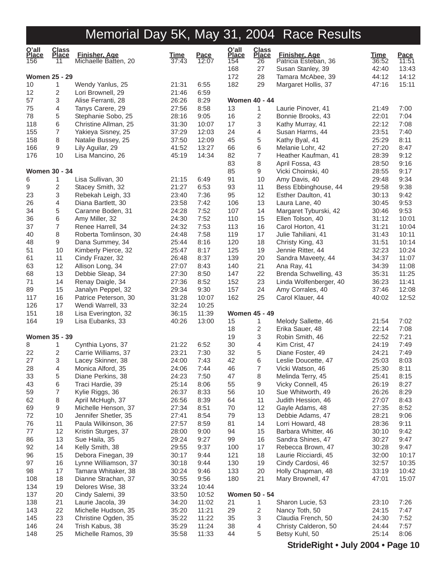| O'all<br><b>Place</b><br>156 | <b>Class</b><br><b>Place</b><br>11 | <b>Finisher, Age</b><br>Michaelle Batten, 20 | <u>Time</u><br>37:43 | <u>Pace</u><br>12:07 | O'all<br><b>Place</b><br>154 | <b>Class</b><br><b>Place</b><br>26 | <b>Finisher, Age</b><br>Patricia Esteban, 36 | <u>Time</u><br>36:52 | <b>Pace</b><br>11:51 |
|------------------------------|------------------------------------|----------------------------------------------|----------------------|----------------------|------------------------------|------------------------------------|----------------------------------------------|----------------------|----------------------|
|                              |                                    |                                              |                      |                      | 168                          | 27                                 | Susan Stanley, 39                            | 42:40                | 13:43                |
|                              | <b>Women 25 - 29</b>               |                                              |                      |                      | 172                          | 28                                 | Tamara McAbee, 39                            | 44:12                | 14:12                |
| 10                           | 1                                  | Wendy Yanlus, 25                             | 21:31                | 6:55                 | 182                          | 29                                 | Margaret Hollis, 37                          | 47:16                | 15:11                |
| 12                           | 2                                  | Lori Brownell, 29                            | 21:46                | 6:59                 |                              |                                    |                                              |                      |                      |
| 57                           | 3                                  | Alise Ferranti, 28                           | 26:26                | 8:29                 |                              | <b>Women 40 - 44</b>               |                                              |                      |                      |
| 75                           | 4                                  | Tanys Carere, 29                             | 27:56                | 8:58                 | 13                           | 1                                  | Laurie Pinover, 41                           | 21:49                | 7:00                 |
| 78                           | 5                                  | Stephanie Sobo, 25                           | 28:16                | 9:05                 | 16                           | $\mathbf{2}$                       | Bonnie Brooks, 43                            | 22:01                | 7:04                 |
| 118                          | 6                                  | Christine Allman, 25                         | 31:30                | 10:07                | 17                           | 3                                  | Kathy Murray, 41                             | 22:12                | 7:08                 |
| 155                          | 7                                  | Yakieya Sisney, 25                           | 37:29                | 12:03                | 24                           | 4                                  | Susan Harms, 44                              | 23:51                | 7:40                 |
| 158                          | 8                                  | Natalie Bussey, 25                           | 37:50                | 12:09                | 45                           | 5                                  | Kathy Byal, 41                               | 25:29                | 8:11                 |
| 166                          | 9                                  | Lily Aguilar, 29                             | 41:52                | 13:27                | 66                           | 6                                  | Melanie Lohr, 42                             | 27:20                | 8:47                 |
| 176                          | 10                                 | Lisa Mancino, 26                             | 45:19                | 14:34                | 82                           | $\overline{7}$                     | Heather Kaufman, 41                          | 28:39                | 9:12                 |
|                              |                                    |                                              |                      |                      | 83                           | 8                                  | April Fossa, 43                              | 28:50                | 9:16                 |
|                              | <b>Women 30 - 34</b>               |                                              |                      |                      | 85                           | 9                                  | Vicki Choinski, 40                           | 28:55                | 9:17                 |
| 6                            | 1                                  | Lisa Sullivan, 30                            | 21:15                | 6:49                 | 91                           | 10                                 | Amy Davis, 40                                | 29:48                | 9:34                 |
| 9                            | 2                                  | Stacey Smith, 32                             | 21:27                | 6:53                 | 93                           | 11                                 | Bess Ebbinghouse, 44                         | 29:58                | 9:38                 |
| 23                           | 3                                  | Rebekah Leigh, 33                            | 23:40                | 7:36                 | 95                           | 12                                 | Esther Daulton, 41                           | 30:13                | 9:42                 |
| 26                           | 4                                  | Diana Bartlett, 30                           | 23:58                | 7:42                 | 106                          | 13                                 | Laura Lane, 40                               | 30:45                | 9:53                 |
| 34                           | 5                                  | Caranne Boden, 31                            | 24:28                | 7:52                 | 107                          | 14                                 | Margaret Tyburski, 42                        | 30:46                | 9:53                 |
| 36                           | 6                                  | Amy Miller, 32                               | 24:30                | 7:52                 | 110                          | 15                                 | Ellen Tolson, 40                             | 31:12                | 10:01                |
| 37                           | 7                                  | Renee Harrell, 34                            | 24:32                | 7:53                 | 113                          | 16                                 | Carol Horton, 41                             | 31:21                | 10:04                |
| 40                           | 8                                  | Roberta Tomlinson, 30                        | 24:48                | 7:58                 | 119                          | 17                                 | Julie Tahiliani, 41                          | 31:43                | 10:11                |
| 48                           | 9                                  | Dana Summey, 34                              | 25:44                | 8:16                 | 120                          | 18                                 | Christy King, 43                             | 31:51                | 10:14                |
| 51                           | 10                                 | Kimberly Pierce, 32                          | 25:47                | 8:17                 | 125                          | 19                                 | Jennie Ritter, 44                            | 32:23                | 10:24                |
| 61                           | 11                                 | Cindy Frazer, 32                             | 26:48                | 8:37                 | 139                          | 20                                 | Sandra Maveety, 44                           | 34:37                | 11:07                |
| 63                           | 12                                 | Allison Long, 34                             | 27:07                | 8:43                 | 140                          | 21                                 | Ana Ray, 41                                  | 34:39                | 11:08                |
| 68<br>71                     | 13<br>14                           | Debbie Sleap, 34                             | 27:30<br>27:36       | 8:50<br>8:52         | 147<br>152                   | 22<br>23                           | Brenda Schwelling, 43                        | 35:31<br>36:23       | 11:25<br>11:41       |
|                              | 15                                 | Renay Daigle, 34<br>Janalyn Peppel, 32       |                      | 9:30                 |                              | 24                                 | Linda Wolfenberger, 40                       |                      | 12:08                |
| 89                           | 16                                 |                                              | 29:34                |                      | 157<br>162                   | 25                                 | Amy Corrales, 40                             | 37:46                | 12:52                |
| 117<br>126                   | 17                                 | Patrice Peterson, 30                         | 31:28<br>32:24       | 10:07<br>10:25       |                              |                                    | Carol Klauer, 44                             | 40:02                |                      |
| 151                          | 18                                 | Wendi Warrell, 33<br>Lisa Everington, 32     | 36:15                | 11:39                |                              | <b>Women 45 - 49</b>               |                                              |                      |                      |
| 164                          | 19                                 | Lisa Eubanks, 33                             | 40:26                | 13:00                | 15                           | 1                                  | Melody Sallette, 46                          | 21:54                | 7:02                 |
|                              |                                    |                                              |                      |                      | 18                           | $\mathbf{2}$                       | Erika Sauer, 48                              | 22:14                | 7:08                 |
|                              | <b>Women 35 - 39</b>               |                                              |                      |                      | 19                           | 3                                  | Robin Smith, 46                              | 22:52                | 7:21                 |
| 8                            | 1                                  | Cynthia Lyons, 37                            | 21:22                | 6:52                 | 30                           | 4                                  | Kim Crist, 47                                | 24:19                | 7:49                 |
| 22                           | 2                                  | Carrie Williams, 37                          | 23:21                | 7:30                 | 32                           | 5                                  | Diane Foster, 49                             | 24:21                | 7:49                 |
| 27                           | 3                                  | Lacey Skinner, 38                            | 24:00                | 7:43                 | 42                           | 6                                  | Leslie Doucette, 47                          | 25:03                | 8:03                 |
| 28                           | 4                                  | Monica Alford, 35                            | 24:06                | 7:44                 | 46                           | $\overline{7}$                     | Vicki Watson, 46                             | 25:30                | 8:11                 |
| 33                           | 5                                  | Diane Perkins, 38                            | 24:23                | 7:50                 | 47                           | 8                                  | Melinda Terry, 45                            | 25:41                | 8:15                 |
| 43                           | 6                                  | Traci Hardie, 39                             | 25:14                | 8:06                 | 55                           | 9                                  | Vicky Connell, 45                            | 26:19                | 8:27                 |
| 59                           | 7                                  | Kylie Riggs, 36                              | 26:37                | 8:33                 | 56                           | 10                                 | Sue Whitworth, 49                            | 26:26                | 8:29                 |
| 62                           | 8                                  | April McHugh, 37                             | 26:56                | 8:39                 | 64                           | 11                                 | Judith Hession, 46                           | 27:07                | 8:43                 |
| 69                           | 9                                  | Michelle Henson, 37                          | 27:34                | 8:51                 | 70                           | 12                                 | Gayle Adams, 48                              | 27:35                | 8:52                 |
| 72                           | 10                                 | Jennifer Shetler, 35                         | 27:41                | 8:54                 | 79                           | 13                                 | Debbie Adams, 47                             | 28:21                | 9:06                 |
| 76                           | 11                                 | Paula Wilkinson, 36                          | 27:57                | 8:59                 | 81                           | 14                                 | Lorri Howard, 48                             | 28:36                | 9:11                 |
| 77                           | 12                                 | Kristin Sturges, 37                          | 28:00                | 9:00                 | 94                           | 15                                 | Barbara Whitter, 46                          | 30:10                | 9:42                 |
| 86                           | 13                                 | Sue Haila, 35                                | 29:24                | 9:27                 | 99                           | 16                                 | Sandra Shines, 47                            | 30:27                | 9:47                 |
| 92                           | 14                                 | Kelly Smith, 38                              | 29:55                | 9:37                 | 100                          | 17                                 | Rebecca Brown, 47                            | 30:28                | 9:47                 |
| 96                           | 15                                 | Debora Finegan, 39                           | 30:17                | 9:44                 | 121                          | 18                                 | Laurie Ricciardi, 45                         | 32:00                | 10:17                |
| 97                           | 16                                 | Lynne Williamson, 37                         | 30:18                | 9:44                 | 130                          | 19                                 | Cindy Cardosi, 46                            | 32:57                | 10:35                |
| 98                           | 17                                 | Tamara Whitaker, 38                          | 30:24                | 9:46                 | 133                          | 20                                 | Holly Chapman, 48                            | 33:19                | 10:42                |
| 108                          | 18                                 | Dianne Strachan, 37                          | 30:55                | 9:56                 | 180                          | 21                                 | Mary Brownell, 47                            | 47:01                | 15:07                |
| 134                          | 19                                 | Delores Wise, 38                             | 33:24                | 10:44                |                              |                                    |                                              |                      |                      |
| 137                          | 20                                 | Cindy Salemi, 39                             | 33:50                | 10:52                |                              | <b>Women 50 - 54</b>               |                                              |                      |                      |
| 138                          | 21                                 | Laurie Jacola, 39                            | 34:20                | 11:02                | 21                           | 1                                  | Sharon Lucie, 53                             | 23:10                | 7:26                 |
| 143                          | 22                                 | Michelle Hudson, 35                          | 35:20                | 11:21                | 29                           | $\overline{\mathbf{c}}$            | Nancy Toth, 50                               | 24:15                | 7:47                 |
| 145                          | 23                                 | Christine Ogden, 35                          | 35:22                | 11:22                | 35                           | $\ensuremath{\mathsf{3}}$          | Claudia French, 50                           | 24:30                | 7:52                 |
| 146                          | 24                                 | Trish Kabus, 38                              | 35:29                | 11:24                | 38                           | 4                                  | Christy Calderon, 50                         | 24:44                | 7:57                 |
| 148                          | 25                                 | Michelle Ramos, 39                           | 35:58                | 11:33                | 44                           | 5                                  | Betsy Kuhl, 50                               | 25:14                | 8:06                 |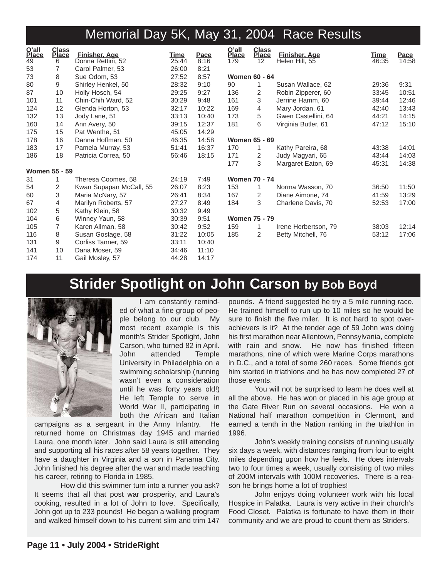| O'all<br>Place  | <b>Class</b><br><b>Place</b> | <b>Finisher, Age</b>    | <u>Time</u> | Pace  | O'all<br>Place | <b>Class</b><br><b>Place</b> | <b>Finisher, Age</b> | <u>Time</u> |                 |
|-----------------|------------------------------|-------------------------|-------------|-------|----------------|------------------------------|----------------------|-------------|-----------------|
| $\overline{49}$ | 6                            | Donna Rettini, 52       | 25:44       | 8:16  | 179            | 12                           | Helen Hill, 55       | 46:35       | Pace<br>$14:58$ |
| 53              | 7                            | Carol Palmer, 53        | 26:00       | 8:21  |                |                              |                      |             |                 |
| 73              | 8                            | Sue Odom, 53            | 27:52       | 8:57  |                | <b>Women 60 - 64</b>         |                      |             |                 |
| 80              | 9                            | Shirley Henkel, 50      | 28:32       | 9:10  | 90             |                              | Susan Wallace, 62    | 29:36       | 9:31            |
| 87              | 10                           | Holly Hosch, 54         | 29:25       | 9:27  | 136            | 2                            | Robin Zipperer, 60   | 33:45       | 10:51           |
| 101             | 11                           | Chin-Chih Ward, 52      | 30:29       | 9:48  | 161            | 3                            | Jerrine Hamm, 60     | 39:44       | 12:46           |
| 124             | 12                           | Glenda Horton, 53       | 32:17       | 10:22 | 169            | 4                            | Mary Jordan, 61      | 42:40       | 13:43           |
| 132             | 13                           | Jody Lane, 51           | 33:13       | 10:40 | 173            | 5                            | Gwen Castellini, 64  | 44:21       | 14:15           |
| 160             | 14                           | Ann Avery, 50           | 39:15       | 12:37 | 181            | 6                            | Virginia Butler, 61  | 47:12       | 15:10           |
| 175             | 15                           | Pat Wenthe, 51          | 45:05       | 14:29 |                |                              |                      |             |                 |
| 178             | 16                           | Danna Hoffman, 50       | 46:35       | 14:58 |                | <b>Women 65 - 69</b>         |                      |             |                 |
| 183             | 17                           | Pamela Murray, 53       | 51:41       | 16:37 | 170            | 1                            | Kathy Pareira, 68    | 43:38       | 14:01           |
| 186             | 18                           | Patricia Correa, 50     | 56:46       | 18:15 | 171            | 2                            | Judy Magyari, 65     | 43:44       | 14:03           |
|                 |                              |                         |             |       | 177            | 3                            | Margaret Eaton, 69   | 45:31       | 14:38           |
|                 | <b>Women 55 - 59</b>         |                         |             |       |                |                              |                      |             |                 |
| 31              |                              | Theresa Coomes, 58      | 24:19       | 7:49  |                | <b>Women 70 - 74</b>         |                      |             |                 |
| 54              | 2                            | Kwan Supapan McCall, 55 | 26:07       | 8:23  | 153            | 1                            | Norma Wasson, 70     | 36:50       | 11:50           |
| 60              | 3                            | Maria McNary, 57        | 26:41       | 8:34  | 167            | 2                            | Diane Aimone, 74     | 41:59       | 13:29           |
| 67              | 4                            | Marilyn Roberts, 57     | 27:27       | 8:49  | 184            | 3                            | Charlene Davis, 70   | 52:53       | 17:00           |
| 102             | 5                            | Kathy Klein, 58         | 30:32       | 9:49  |                |                              |                      |             |                 |
| 104             | 6                            | Winney Yaun, 58         | 30:39       | 9:51  |                | <b>Women 75 - 79</b>         |                      |             |                 |
| 105             | 7                            | Karen Allman, 58        | 30:42       | 9:52  | 159            | 1                            | Irene Herbertson, 79 | 38:03       | 12:14           |
| 116             | 8                            | Susan Gostage, 58       | 31:22       | 10:05 | 185            | 2                            | Betty Mitchell, 76   | 53:12       | 17:06           |
| 131             | 9                            | Corliss Tanner, 59      | 33:11       | 10:40 |                |                              |                      |             |                 |
| 141             | 10                           | Dana Moser, 59          | 34:46       | 11:10 |                |                              |                      |             |                 |
| 174             | 11                           | Gail Mosley, 57         | 44:28       | 14:17 |                |                              |                      |             |                 |

## **Strider Spotlight on John Carson by Bob Boyd**



I am constantly reminded of what a fine group of people belong to our club. My most recent example is this month's Strider Spotlight, John Carson, who turned 82 in April. John attended Temple University in Philadelphia on a swimming scholarship (running wasn't even a consideration until he was forty years old!) He left Temple to serve in World War II, participating in both the African and Italian

campaigns as a sergeant in the Army Infantry. He returned home on Christmas day 1945 and married Laura, one month later. John said Laura is still attending and supporting all his races after 58 years together. They have a daughter in Virginia and a son in Panama City. John finished his degree after the war and made teaching his career, retiring to Florida in 1985.

How did this swimmer turn into a runner you ask? It seems that all that post war prosperity, and Laura's cooking, resulted in a lot of John to love. Specifically, John got up to 233 pounds! He began a walking program and walked himself down to his current slim and trim 147

pounds. A friend suggested he try a 5 mile running race. He trained himself to run up to 10 miles so he would be sure to finish the five miler. It is not hard to spot overachievers is it? At the tender age of 59 John was doing his first marathon near Allentown, Pennsylvania, complete with rain and snow. He now has finished fifteen marathons, nine of which were Marine Corps marathons in D.C., and a total of some 260 races. Some friends got him started in triathlons and he has now completed 27 of those events.

You will not be surprised to learn he does well at all the above. He has won or placed in his age group at the Gate River Run on several occasions. He won a National half marathon competition in Clermont, and earned a tenth in the Nation ranking in the triathlon in 1996.

John's weekly training consists of running usually six days a week, with distances ranging from four to eight miles depending upon how he feels. He does intervals two to four times a week, usually consisting of two miles of 200M intervals with 100M recoveries. There is a reason he brings home a lot of trophies!

John enjoys doing volunteer work with his local Hospice in Palatka. Laura is very active in their church's Food Closet. Palatka is fortunate to have them in their community and we are proud to count them as Striders.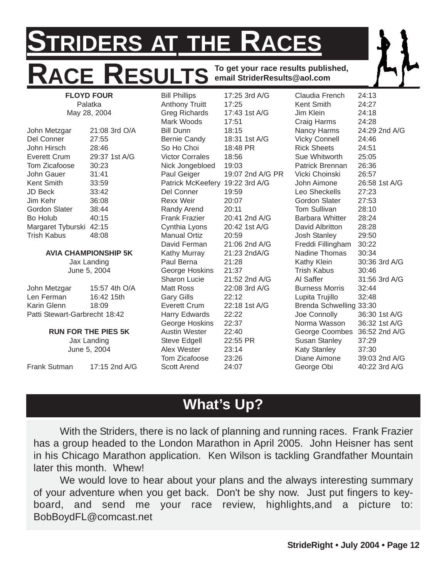## **STRIDERS AT THE RACES** ACE RESULTS **To get your race results published, email StriderResults@aol.com FLOYD FOUR**

May 28, 2004 John Metzgar 21:08 3rd O/A Del Conner 27:55 John Hirsch 28:46 Everett Crum 29:37 1st A/G Tom Zicafoose 30:23 John Gauer 31:41 Kent Smith 33:59 JD Beck 33:42 Jim Kehr 36:08 Gordon Slater 38:44 Bo Holub 40:15 Margaret Tyburski 42:15 Trish Kabus 48:08

Palatka

#### **AVIA CHAMPIONSHIP 5K**

Jax Landing June 5, 2004

| John Metzgar                  | 15:57 4th O/A |  |  |  |  |  |  |
|-------------------------------|---------------|--|--|--|--|--|--|
| Len Ferman                    | 16:42 15th    |  |  |  |  |  |  |
| Karin Glenn                   | 18:09         |  |  |  |  |  |  |
| Patti Stewart-Garbrecht 18:42 |               |  |  |  |  |  |  |

#### **RUN FOR THE PIES 5K**

Jax Landing June 5, 2004

Frank Sutman 17:15 2nd A/G

Bill Phillips 17:25 3rd A/G Anthony Truitt 17:25 Greg Richards 17:43 1st A/G Mark Woods 17:51 Bill Dunn 18:15 Bernie Candy 18:31 1st A/G So Ho Choi 18:48 PR Victor Corrales 18:56 Nick Jongebloed 19:03 Paul Geiger 19:07 2nd A/G PR Patrick McKeefery 19:22 3rd A/G Del Conner 19:59 Rexx Weir 20:07 Randy Arend 20:11 Frank Frazier 20:41 2nd A/G Cynthia Lyons 20:42 1st A/G Manual Ortiz 20:59 David Ferman 21:06 2nd A/G Kathy Murray 21:23 2ndA/G Paul Berna 21:28 George Hoskins 21:37 Sharon Lucie 21:52 2nd A/G Matt Ross 22:08 3rd A/G Gary Gills 22:12 Everett Crum 22:18 1st A/G Harry Edwards 22:22 George Hoskins 22:37 Austin Wester 22:40 Steve Edgell 22:55 PR Alex Wester 23:14 Tom Zicafoose 23:26 Scott Arend 24:07

Claudia French 24:13 Kent Smith 24:27 Jim Klein 24:18 Craig Harms 24:28 Nancy Harms 24:29 2nd A/G Vicky Connell 24:46 Rick Sheets 24:51 Sue Whitworth 25:05 Patrick Brennan 26:36 Vicki Choinski 26:57 John Aimone 26:58 1st A/G Leo Sheckells 27:23 Gordon Slater 27:53 Tom Sullivan 28:10 Barbara Whitter 28:24 David Albritton 28:28 Josh Stanley 29:50 Freddi Fillingham 30:22 Nadine Thomas 30:34 Kathy Klein 30:36 3rd A/G Trish Kabus 30:46 Al Saffer 31:56 3rd A/G Burness Morris 32:44 Lupita Trujillo 32:48 Brenda Schwelling 33:30 Joe Connolly 36:30 1st A/G Norma Wasson 36:32 1st A/G George Coombes 36:52 2nd A/G Susan Stanley 37:29 Katy Stanley 37:30 Diane Aimone 39:03 2nd A/G George Obi 40:22 3rd A/G

## **What's Up?**

With the Striders, there is no lack of planning and running races. Frank Frazier has a group headed to the London Marathon in April 2005. John Heisner has sent in his Chicago Marathon application. Ken Wilson is tackling Grandfather Mountain later this month. Whew!

We would love to hear about your plans and the always interesting summary of your adventure when you get back. Don't be shy now. Just put fingers to keyboard, and send me your race review, highlights,and a picture to: BobBoydFL@comcast.net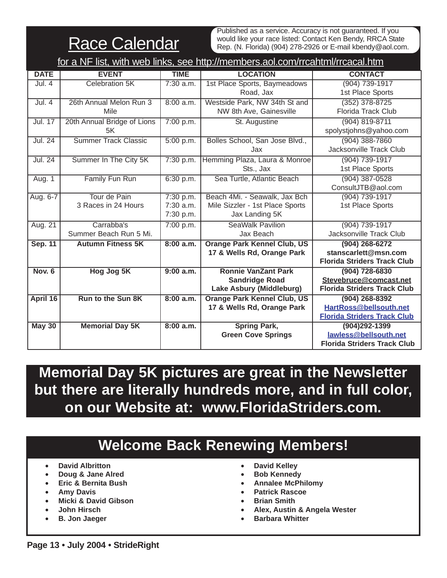**Race Calendar** 

Published as a service. Accuracy is not guaranteed. If you would like your race listed: Contact Ken Bendy, RRCA State Rep. (N. Florida) (904) 278-2926 or E-mail kbendy@aol.com.

|                | for a NF list, with web links, see http://members.aol.com/rrcahtml/rrcacal.htm |             |                                    |                                    |  |  |  |  |  |
|----------------|--------------------------------------------------------------------------------|-------------|------------------------------------|------------------------------------|--|--|--|--|--|
| <b>DATE</b>    | <b>EVENT</b>                                                                   | <b>TIME</b> | <b>LOCATION</b>                    | <b>CONTACT</b>                     |  |  |  |  |  |
| Jul. 4         | Celebration 5K                                                                 | $7:30$ a.m. | 1st Place Sports, Baymeadows       | (904) 739-1917                     |  |  |  |  |  |
|                |                                                                                |             | Road, Jax                          | 1st Place Sports                   |  |  |  |  |  |
| Jul. 4         | 26th Annual Melon Run 3                                                        | 8:00 a.m.   | Westside Park, NW 34th St and      | $(352)$ 378-8725                   |  |  |  |  |  |
|                | Mile                                                                           |             | NW 8th Ave, Gainesville            | <b>Florida Track Club</b>          |  |  |  |  |  |
| <b>Jul. 17</b> | 20th Annual Bridge of Lions                                                    | 7:00 p.m.   | St. Augustine                      | $(904) 819 - 8711$                 |  |  |  |  |  |
|                | 5K                                                                             |             |                                    | spolystjohns@yahoo.com             |  |  |  |  |  |
| Jul. 24        | <b>Summer Track Classic</b>                                                    | 5:00 p.m.   | Bolles School, San Jose Blvd.,     | $(904)$ 388-7860                   |  |  |  |  |  |
|                |                                                                                |             | Jax                                | Jacksonville Track Club            |  |  |  |  |  |
| <b>Jul. 24</b> | Summer In The City 5K                                                          | 7:30 p.m.   | Hemming Plaza, Laura & Monroe      | (904) 739-1917                     |  |  |  |  |  |
|                |                                                                                |             | Sts., Jax                          | 1st Place Sports                   |  |  |  |  |  |
| Aug. 1         | Family Fun Run                                                                 | 6:30 p.m.   | Sea Turtle, Atlantic Beach         | $(904)$ 387-0528                   |  |  |  |  |  |
|                |                                                                                |             |                                    | ConsultJTB@aol.com                 |  |  |  |  |  |
| Aug. 6-7       | Tour de Pain                                                                   | 7:30 p.m.   | Beach 4Mi. - Seawalk, Jax Bch      | (904) 739-1917                     |  |  |  |  |  |
|                | 3 Races in 24 Hours                                                            | 7:30 a.m.   | Mile Sizzler - 1st Place Sports    | 1st Place Sports                   |  |  |  |  |  |
|                |                                                                                | 7:30 p.m.   | Jax Landing 5K                     |                                    |  |  |  |  |  |
| Aug. 21        | Carrabba's                                                                     | 7:00 p.m.   | <b>SeaWalk Pavilion</b>            | (904) 739-1917                     |  |  |  |  |  |
|                | Summer Beach Run 5 Mi.                                                         |             | Jax Beach                          | Jacksonville Track Club            |  |  |  |  |  |
| <b>Sep. 11</b> | <b>Autumn Fitness 5K</b>                                                       | 8:00 a.m.   | <b>Orange Park Kennel Club, US</b> | $(904)$ 268-6272                   |  |  |  |  |  |
|                |                                                                                |             | 17 & Wells Rd, Orange Park         | stanscarlett@msn.com               |  |  |  |  |  |
|                |                                                                                |             |                                    | <b>Florida Striders Track Club</b> |  |  |  |  |  |
| <b>Nov. 6</b>  | Hog Jog 5K                                                                     | 9:00 a.m.   | <b>Ronnie VanZant Park</b>         | (904) 728-6830                     |  |  |  |  |  |
|                |                                                                                |             | <b>Sandridge Road</b>              | Stevebruce@comcast.net             |  |  |  |  |  |
|                |                                                                                |             | Lake Asbury (Middleburg)           | <b>Florida Striders Track Club</b> |  |  |  |  |  |
| April 16       | <b>Run to the Sun 8K</b>                                                       | 8:00 a.m.   | <b>Orange Park Kennel Club, US</b> | $(904)$ 268-8392                   |  |  |  |  |  |
|                |                                                                                |             | 17 & Wells Rd, Orange Park         | HartRoss@bellsouth.net             |  |  |  |  |  |
|                |                                                                                |             |                                    | <b>Florida Striders Track Club</b> |  |  |  |  |  |
| <b>May 30</b>  | <b>Memorial Day 5K</b>                                                         | 8:00 a.m.   | <b>Spring Park,</b>                | $(904)292 - 1399$                  |  |  |  |  |  |
|                |                                                                                |             | <b>Green Cove Springs</b>          | lawless@bellsouth.net              |  |  |  |  |  |
|                |                                                                                |             |                                    | <b>Florida Striders Track Club</b> |  |  |  |  |  |

**Memorial Day 5K pictures are great in the Newsletter but there are literally hundreds more, and in full color, on our Website at: www.FloridaStriders.com.** 

## **Welcome Back Renewing Members!**

- **David Albritton**
- **Doug & Jane Alred**
- **Eric & Bernita Bush**
- **Amy Davis**
- **Micki & David Gibson**
- **John Hirsch**
- **B. Jon Jaeger**
- **David Kelley**
- **Bob Kennedy**
- **Annalee McPhilomy**
- **Patrick Rascoe**
- **Brian Smith**
- **Alex, Austin & Angela Wester**
- **Barbara Whitter**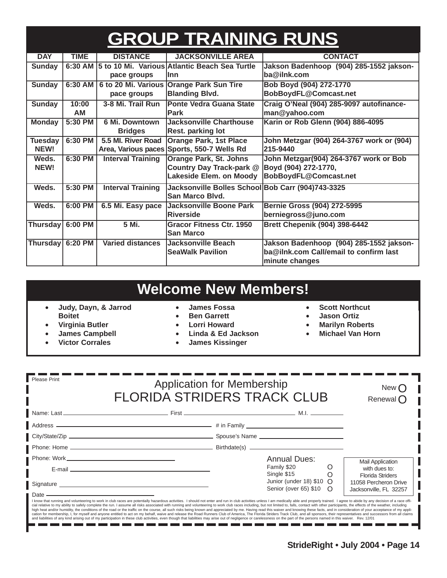# **GROUP TRAINING RUNS**

| <b>DAY</b>       | <b>TIME</b> | <b>DISTANCE</b>          | <b>JACKSONVILLE AREA</b>                          | <b>CONTACT</b>                            |
|------------------|-------------|--------------------------|---------------------------------------------------|-------------------------------------------|
| <b>Sunday</b>    | 6:30 AM     |                          | 5 to 10 Mi. Various Atlantic Beach Sea Turtle     | Jakson Badenhoop (904) 285-1552 jakson-   |
|                  |             | pace groups              | llnn                                              | ba@ilnk.com                               |
| <b>Sunday</b>    | 6:30 AM     | 6 to 20 Mi. Various      | <b>Orange Park Sun Tire</b>                       | Bob Boyd (904) 272-1770                   |
|                  |             | pace groups              | <b>Blanding Blvd.</b>                             | BobBoydFL@Comcast.net                     |
| <b>Sunday</b>    | 10:00       | 3-8 Mi. Trail Run        | <b>Ponte Vedra Guana State</b>                    | Craig O'Neal (904) 285-9097 autofinance-  |
|                  | AM          |                          | <b>Park</b>                                       | man@yahoo.com                             |
| <b>Monday</b>    | 5:30 PM     | 6 Mi. Downtown           | <b>Jacksonville Charthouse</b>                    | Karin or Rob Glenn (904) 886-4095         |
|                  |             | <b>Bridges</b>           | Rest. parking lot                                 |                                           |
| <b>Tuesday</b>   | 6:30 PM     | 5.5 MI. River Road       | <b>Orange Park, 1st Place</b>                     | John Metzgar (904) 264-3767 work or (904) |
| NEW!             |             | Area, Various paces      | Sports, 550-7 Wells Rd                            | 215-9440                                  |
| Weds.            | 6:30 PM     | <b>Interval Training</b> | <b>Orange Park, St. Johns</b>                     | John Metzgar(904) 264-3767 work or Bob    |
| NEW!             |             |                          | Country Day Track-park @                          | Boyd (904) 272-1770,                      |
|                  |             |                          | Lakeside Elem. on Moody                           | BobBoydFL@Comcast.net                     |
| Weds.            | 5:30 PM     | <b>Interval Training</b> | Jacksonville Bolles School Bob Carr (904)743-3325 |                                           |
|                  |             |                          | San Marco Blvd.                                   |                                           |
| Weds.            | 6:00 PM     | 6.5 Mi. Easy pace        | Jacksonville Boone Park                           | <b>Bernie Gross (904) 272-5995</b>        |
|                  |             |                          | <b>Riverside</b>                                  | berniegross@juno.com                      |
| <b>Thursday</b>  | 6:00 PM     | 5 Mi.                    | Gracor Fitness Ctr. 1950                          | <b>Brett Chepenik (904) 398-6442</b>      |
|                  |             |                          | <b>San Marco</b>                                  |                                           |
| Thursday 6:20 PM |             | <b>Varied distances</b>  | Jacksonville Beach                                | Jakson Badenhoop (904) 285-1552 jakson-   |
|                  |             |                          | <b>SeaWalk Pavilion</b>                           | ba@ilnk.com Call/email to confirm last    |
|                  |             |                          |                                                   | minute changes                            |

## **Welcome New Members!**

- **Judy, Dayn, & Jarrod Boitet**
- **Virginia Butler**
- **James Campbell**
- **Victor Corrales**
- **James Fossa**
- **Ben Garrett**
- **Lorri Howard**
- **Linda & Ed Jackson**
- **James Kissinger**
- **Scott Northcut**
- **Jason Ortiz**
- **Marilyn Roberts**
- **Michael Van Horn**

| <b>Please Print</b>                                                                                                                                                                                                                                                                                                                                                                                                                                                                                                                                                                                                                                                                                | <b>Application for Membership</b><br><b>FLORIDA STRIDERS TRACK CLUB</b> |                                                        |         |                                                                            |  |  |
|----------------------------------------------------------------------------------------------------------------------------------------------------------------------------------------------------------------------------------------------------------------------------------------------------------------------------------------------------------------------------------------------------------------------------------------------------------------------------------------------------------------------------------------------------------------------------------------------------------------------------------------------------------------------------------------------------|-------------------------------------------------------------------------|--------------------------------------------------------|---------|----------------------------------------------------------------------------|--|--|
|                                                                                                                                                                                                                                                                                                                                                                                                                                                                                                                                                                                                                                                                                                    |                                                                         |                                                        |         |                                                                            |  |  |
|                                                                                                                                                                                                                                                                                                                                                                                                                                                                                                                                                                                                                                                                                                    |                                                                         |                                                        |         |                                                                            |  |  |
|                                                                                                                                                                                                                                                                                                                                                                                                                                                                                                                                                                                                                                                                                                    |                                                                         |                                                        |         |                                                                            |  |  |
|                                                                                                                                                                                                                                                                                                                                                                                                                                                                                                                                                                                                                                                                                                    |                                                                         |                                                        |         |                                                                            |  |  |
|                                                                                                                                                                                                                                                                                                                                                                                                                                                                                                                                                                                                                                                                                                    |                                                                         | <b>Annual Dues:</b>                                    |         | <b>Mail Application</b>                                                    |  |  |
| E-mail entertainment and the contract of the contract of the contract of the contract of the contract of the contract of the contract of the contract of the contract of the contract of the contract of the contract of the c                                                                                                                                                                                                                                                                                                                                                                                                                                                                     |                                                                         | Family \$20<br>Single \$15                             | $\circ$ | with dues to:                                                              |  |  |
| Signature experience and the state of the state of the state of the state of the state of the state of the state of the state of the state of the state of the state of the state of the state of the state of the state of th<br>Date $-$                                                                                                                                                                                                                                                                                                                                                                                                                                                         |                                                                         | Junior (under 18) $$10$ $O$<br>Senior (over 65) \$10 O |         | <b>Florida Striders</b><br>11058 Percheron Drive<br>Jacksonville, FL 32257 |  |  |
| I know that running and volunteering to work in club races are potentially hazardous activities. I should not enter and run in club activities unless I am medically able and properly trained. I agree to abide by any decisi<br>cial relative to my ability to safely complete the run. I assume all risks associated with running and volunteering to work club races including, but not limited to, falls, contact with other participants, the effects of t<br>high heat and/or humidity, the conditions of the road or the traffic on the course, all such risks being known and appreciated by me. Having read this waiver and knowing these facts, and in consideration of your acceptance |                                                                         |                                                        |         |                                                                            |  |  |

high heat and/or humidity, the conditions of the road or the traffic on the course, all such risks being known and appreciated by me. Having read this waiver and knowing these facts, and in consideration of your acceptance m m n m m m . . . . . . . . . . . . . . . . . m.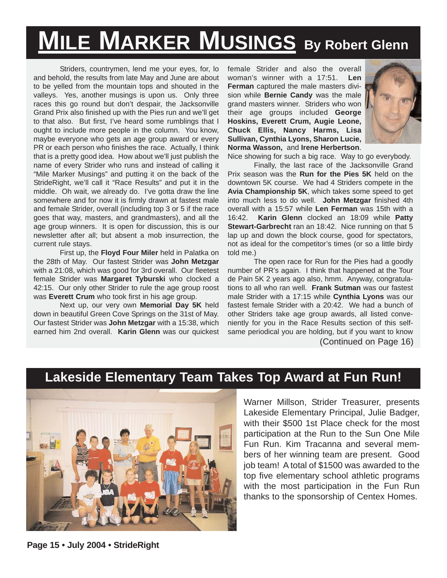# **MILE MARKER MUSINGS By Robert Glenn**

Striders, countrymen, lend me your eyes, for, lo and behold, the results from late May and June are about to be yelled from the mountain tops and shouted in the valleys. Yes, another musings is upon us. Only three races this go round but don't despair, the Jacksonville Grand Prix also finished up with the Pies run and we'll get to that also. But first, I've heard some rumblings that I ought to include more people in the column. You know, maybe everyone who gets an age group award or every PR or each person who finishes the race. Actually, I think that is a pretty good idea. How about we'll just publish the name of every Strider who runs and instead of calling it "Mile Marker Musings" and putting it on the back of the StrideRight, we'll call it "Race Results" and put it in the middle. Oh wait, we already do. I've gotta draw the line somewhere and for now it is firmly drawn at fastest male and female Strider, overall (including top 3 or 5 if the race goes that way, masters, and grandmasters), and all the age group winners. It is open for discussion, this is our newsletter after all; but absent a mob insurrection, the current rule stays.

First up, the **Floyd Four Miler** held in Palatka on the 28th of May. Our fastest Strider was **John Metzgar** with a 21:08, which was good for 3rd overall. Our fleetest female Strider was **Margaret Tyburski** who clocked a 42:15. Our only other Strider to rule the age group roost was **Everett Crum** who took first in his age group.

Next up, our very own **Memorial Day 5K** held down in beautiful Green Cove Springs on the 31st of May. Our fastest Strider was **John Metzgar** with a 15:38, which earned him 2nd overall. **Karin Glenn** was our quickest female Strider and also the overall woman's winner with a 17:51. **Len Ferman** captured the male masters division while **Bernie Candy** was the male grand masters winner. Striders who won their age groups included **George Hoskins, Everett Crum, Augie Leone, Chuck Ellis, Nancy Harms, Lisa Sullivan, Cynthia Lyons, Sharon Lucie, Norma Wasson,** and **Irene Herbertson**.



Nice showing for such a big race. Way to go everybody. Finally, the last race of the Jacksonville Grand Prix season was the **Run for the Pies 5K** held on the downtown 5K course. We had 4 Striders compete in the **Avia Championship 5K**, which takes some speed to get into much less to do well. **John Metzgar** finished 4th overall with a 15:57 while **Len Ferman** was 15th with a 16:42. **Karin Glenn** clocked an 18:09 while **Patty Stewart-Garbrecht** ran an 18:42. Nice running on that 5 lap up and down the block course, good for spectators, not as ideal for the competitor's times (or so a little birdy told me.)

The open race for Run for the Pies had a goodly number of PR's again. I think that happened at the Tour de Pain 5K 2 years ago also, hmm. Anyway, congratulations to all who ran well. **Frank Sutman** was our fastest male Strider with a 17:15 while **Cynthia Lyons** was our fastest female Strider with a 20:42. We had a bunch of other Striders take age group awards, all listed conveniently for you in the Race Results section of this selfsame periodical you are holding, but if you want to know (Continued on Page 16)

#### **Lakeside Elementary Team Takes Top Award at Fun Run!**



Warner Millson, Strider Treasurer, presents Lakeside Elementary Principal, Julie Badger, with their \$500 1st Place check for the most participation at the Run to the Sun One Mile Fun Run. Kim Tracanna and several members of her winning team are present. Good job team! A total of \$1500 was awarded to the top five elementary school athletic programs with the most participation in the Fun Run thanks to the sponsorship of Centex Homes.

**Page 15 • July 2004 • StrideRight**